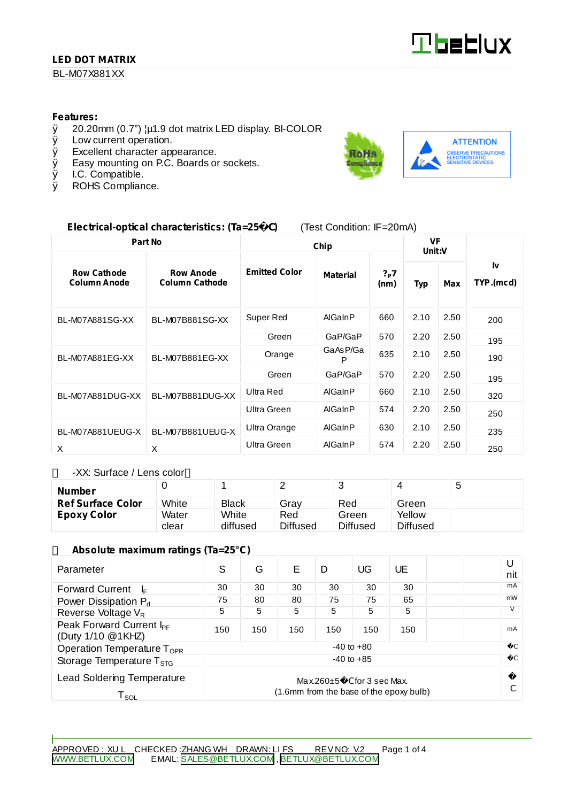## **LED DOT MATRIX**

## BL-M07X881XX

#### **Features:**

- $\emptyset$  20.20mm (0.7")  $\downarrow \uparrow$  1.9 dot matrix LED display. BI-COLOR <br> $\emptyset$  Low current operation.
- Low current operation.
- Ø Excellent character appearance.
- $\emptyset$  Easy mounting on P.C. Boards or sockets.<br> $\emptyset$  I.C. Compatible.
- Ø I.C. Compatible.<br>Ø ROHS Complian
- ROHS Compliance.



## **Electrical-optical characteristics: (Ta=25** C**)** (Test Condition: IF=20mA)

| Part No                                   |                                           | Chip                 |                 |                            | VF<br>Unit:V |      |                 |
|-------------------------------------------|-------------------------------------------|----------------------|-----------------|----------------------------|--------------|------|-----------------|
| <b>Row Cathode</b><br><b>Column Anode</b> | <b>Row Anode</b><br><b>Column Cathode</b> | <b>Emitted Color</b> | <b>Material</b> | $?_{\mathsf{P}}$ 7<br>(nm) | <b>Typ</b>   | Max  | I۷<br>TYP.(mcd) |
| <b>BL-M07A881SG-XX</b>                    | BL-M07B881SG-XX                           | Super Red            | AlGaInP         | 660                        | 2.10         | 2.50 | 200             |
|                                           |                                           | Green                | GaP/GaP         | 570                        | 2.20         | 2.50 | 195             |
| BL-M07A881EG-XX                           | BL-M07B881EG-XX                           | Orange               | GaAsP/Ga<br>P   | 635                        | 2.10         | 2.50 | 190             |
|                                           |                                           | Green                | GaP/GaP         | 570                        | 2.20         | 2.50 | 195             |
| BL-M07A881DUG-XX                          | BL-M07B881DUG-XX                          | Ultra Red            | AlGaInP         | 660                        | 2.10         | 2.50 | 320             |
|                                           |                                           | Ultra Green          | AlGaInP         | 574                        | 2.20         | 2.50 | 250             |
| BL-M07A881UEUG-X                          | BL-M07B881UEUG-X                          | Ultra Orange         | AlGaInP         | 630                        | 2.10         | 2.50 | 235             |
| X                                         | X                                         | Ultra Green          | AlGaInP         | 574                        | 2.20         | 2.50 | 250             |

-XX: Surface / Lens color

| Number                   |       |              |                 |                 |          | J |
|--------------------------|-------|--------------|-----------------|-----------------|----------|---|
| <b>Ref Surface Color</b> | White | <b>Black</b> | Gray            | Red             | Green    |   |
| Epoxy Color              | Water | White        | Red             | Green           | Yellow   |   |
|                          | clear | diffused     | <b>Diffused</b> | <b>Diffused</b> | Diffused |   |

#### **Absolute maximum ratings (Ta=25°C)**

| Parameter                                                                                                                            | S              | G   | F   | D   | UG  | UE  |  | U<br>nit      |
|--------------------------------------------------------------------------------------------------------------------------------------|----------------|-----|-----|-----|-----|-----|--|---------------|
| <b>Forward Current</b><br>l⊧                                                                                                         | 30             | 30  | 30  | 30  | 30  | 30  |  | mA            |
| Power Dissipation P <sub>d</sub>                                                                                                     | 75             | 80  | 80  | 75  | 75  | 65  |  | mW            |
| Reverse Voltage V <sub>R</sub>                                                                                                       | 5              | 5   | 5   | 5   | 5   | 5   |  |               |
| Peak Forward Current I <sub>PF</sub><br>(Duty 1/10 @1KHZ)                                                                            | 150            | 150 | 150 | 150 | 150 | 150 |  | mA            |
| Operation Temperature $T_{\text{OPR}}$                                                                                               | $-40$ to $+80$ |     |     |     |     |     |  |               |
| Storage Temperature $T_{\rm STG}$                                                                                                    | $-40$ to $+85$ |     |     |     |     |     |  | $\mathcal{C}$ |
| <b>Lead Soldering Temperature</b><br>$Max.260 \pm 5$ C for 3 sec Max.<br>(1.6mm from the base of the epoxy bulb)<br>T <sub>sol</sub> |                |     |     |     |     |     |  |               |

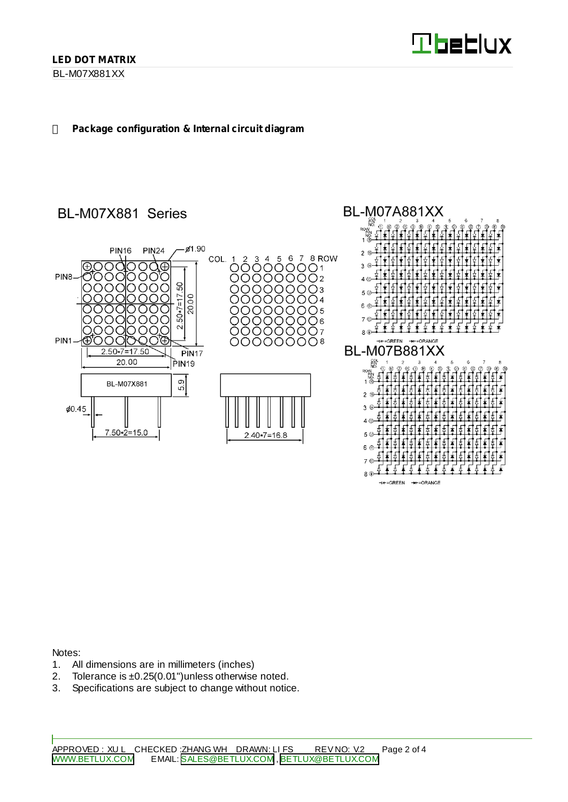**Theblux** 

Ł

HE-GREEN HE-ORANGE

**BL-M07A881XX** 

**RA** 

### **Package configuration & Internal circuit diagram**

# BL-M07X881 Series



Notes:

- 1. All dimensions are in millimeters (inches)
- 2. Tolerance is ±0.25(0.01")unless otherwise noted.
- 3. Specifications are subject to change without notice.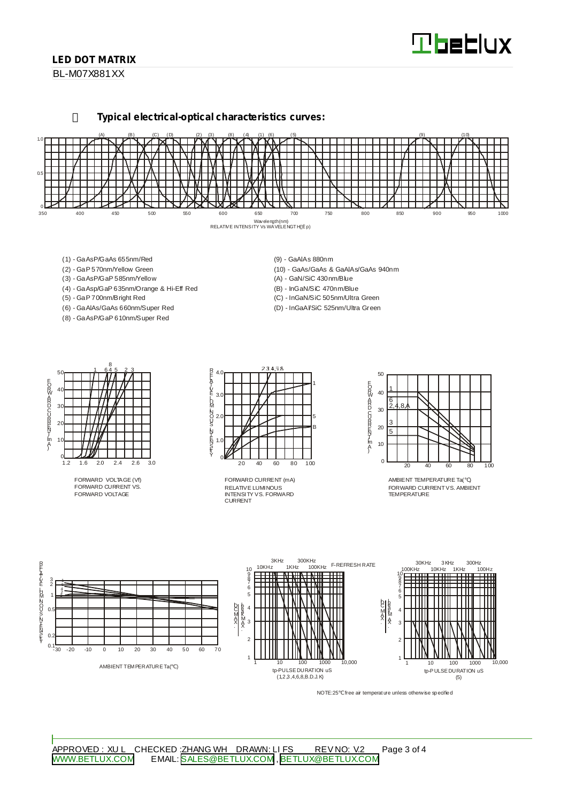# **Tbeblux**

## **LED DOT MATRIX**

BL-M07X881XX

**Typical electrical-optical characteristics curves:**



- (1) GaAsP/GaAs 655nm/Red
- (2) GaP 570nm/Yellow Green
- (3) GaAsP/GaP 585nm/Yellow
- (4) GaAsp/GaP 635nm/Orange & Hi-Eff Red
- (5) GaP 700nm/Bright Red
- (6) GaAlAs/GaAs 660nm/Super Red (8) - GaAsP/GaP 610nm/Super Red
- (9) GaAlAs 880nm
- (10) GaAs/GaAs & GaAlAs/GaAs 940nm (A) - GaN/SiC 430nm/Blue
- (B) InGaN/SiC 470nm/Blue
- (C) InGaN/SiC 505nm/Ultra Green
- (D) InGaAl/SiC 525nm/Ultra Green



FORWARD VOLTAGE (Vf) FORWARD CURRENT VS. FORWARD VOLTAGE



RELATIVE LUMINOUS INTENSITY VS. FORWARD CURRENT FORWARD CURRENT (mA)



AMBIENT TEMPERATURE Ta( ) FORWARD CURRENTVS. AMBIENT TEMPERATURE



NOTE:25 free air temperature unless otherwise specified